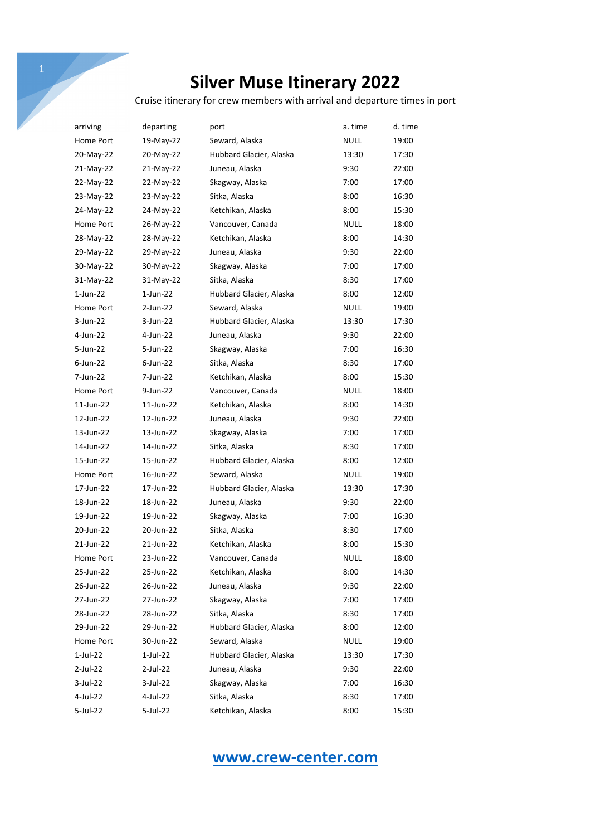Cruise itinerary for crew members with arrival and departure times in port

| arriving    | departing   | port                    | a. time     | d. time |
|-------------|-------------|-------------------------|-------------|---------|
| Home Port   | 19-May-22   | Seward, Alaska          | <b>NULL</b> | 19:00   |
| 20-May-22   | 20-May-22   | Hubbard Glacier, Alaska | 13:30       | 17:30   |
| 21-May-22   | 21-May-22   | Juneau, Alaska          | 9:30        | 22:00   |
| 22-May-22   | 22-May-22   | Skagway, Alaska         | 7:00        | 17:00   |
| 23-May-22   | 23-May-22   | Sitka, Alaska           | 8:00        | 16:30   |
| 24-May-22   | 24-May-22   | Ketchikan, Alaska       | 8:00        | 15:30   |
| Home Port   | 26-May-22   | Vancouver, Canada       | NULL        | 18:00   |
| 28-May-22   | 28-May-22   | Ketchikan, Alaska       | 8:00        | 14:30   |
| 29-May-22   | 29-May-22   | Juneau, Alaska          | 9:30        | 22:00   |
| 30-May-22   | 30-May-22   | Skagway, Alaska         | 7:00        | 17:00   |
| 31-May-22   | 31-May-22   | Sitka, Alaska           | 8:30        | 17:00   |
| $1$ -Jun-22 | 1-Jun-22    | Hubbard Glacier, Alaska | 8:00        | 12:00   |
| Home Port   | 2-Jun-22    | Seward, Alaska          | NULL        | 19:00   |
| 3-Jun-22    | 3-Jun-22    | Hubbard Glacier, Alaska | 13:30       | 17:30   |
| $4$ -Jun-22 | 4-Jun-22    | Juneau, Alaska          | 9:30        | 22:00   |
| 5-Jun-22    | 5-Jun-22    | Skagway, Alaska         | 7:00        | 16:30   |
| $6$ -Jun-22 | $6$ -Jun-22 | Sitka, Alaska           | 8:30        | 17:00   |
| 7-Jun-22    | 7-Jun-22    | Ketchikan, Alaska       | 8:00        | 15:30   |
| Home Port   | 9-Jun-22    | Vancouver, Canada       | <b>NULL</b> | 18:00   |
| 11-Jun-22   | 11-Jun-22   | Ketchikan, Alaska       | 8:00        | 14:30   |
| 12-Jun-22   | 12-Jun-22   | Juneau, Alaska          | 9:30        | 22:00   |
| 13-Jun-22   | 13-Jun-22   | Skagway, Alaska         | 7:00        | 17:00   |
| 14-Jun-22   | 14-Jun-22   | Sitka, Alaska           | 8:30        | 17:00   |
| 15-Jun-22   | 15-Jun-22   | Hubbard Glacier, Alaska | 8:00        | 12:00   |
| Home Port   | 16-Jun-22   | Seward, Alaska          | NULL        | 19:00   |
| 17-Jun-22   | 17-Jun-22   | Hubbard Glacier, Alaska | 13:30       | 17:30   |
| 18-Jun-22   | 18-Jun-22   | Juneau, Alaska          | 9:30        | 22:00   |
| 19-Jun-22   | 19-Jun-22   | Skagway, Alaska         | 7:00        | 16:30   |
| 20-Jun-22   | 20-Jun-22   | Sitka, Alaska           | 8:30        | 17:00   |
| 21-Jun-22   | 21-Jun-22   | Ketchikan, Alaska       | 8:00        | 15:30   |
| Home Port   | 23-Jun-22   | Vancouver, Canada       | <b>NULL</b> | 18:00   |
| 25-Jun-22   | 25-Jun-22   | Ketchikan, Alaska       | 8:00        | 14:30   |
| 26-Jun-22   | 26-Jun-22   | Juneau, Alaska          | 9:30        | 22:00   |
| 27-Jun-22   | 27-Jun-22   | Skagway, Alaska         | 7:00        | 17:00   |
| 28-Jun-22   | 28-Jun-22   | Sitka, Alaska           | 8:30        | 17:00   |
| 29-Jun-22   | 29-Jun-22   | Hubbard Glacier, Alaska | 8:00        | 12:00   |
| Home Port   | 30-Jun-22   | Seward, Alaska          | <b>NULL</b> | 19:00   |
| 1-Jul-22    | 1-Jul-22    | Hubbard Glacier, Alaska | 13:30       | 17:30   |
| 2-Jul-22    | 2-Jul-22    | Juneau, Alaska          | 9:30        | 22:00   |
| 3-Jul-22    | $3$ -Jul-22 | Skagway, Alaska         | 7:00        | 16:30   |
| 4-Jul-22    | 4-Jul-22    | Sitka, Alaska           | 8:30        | 17:00   |
| 5-Jul-22    | 5-Jul-22    | Ketchikan, Alaska       | 8:00        | 15:30   |

## **www.crew-center.com**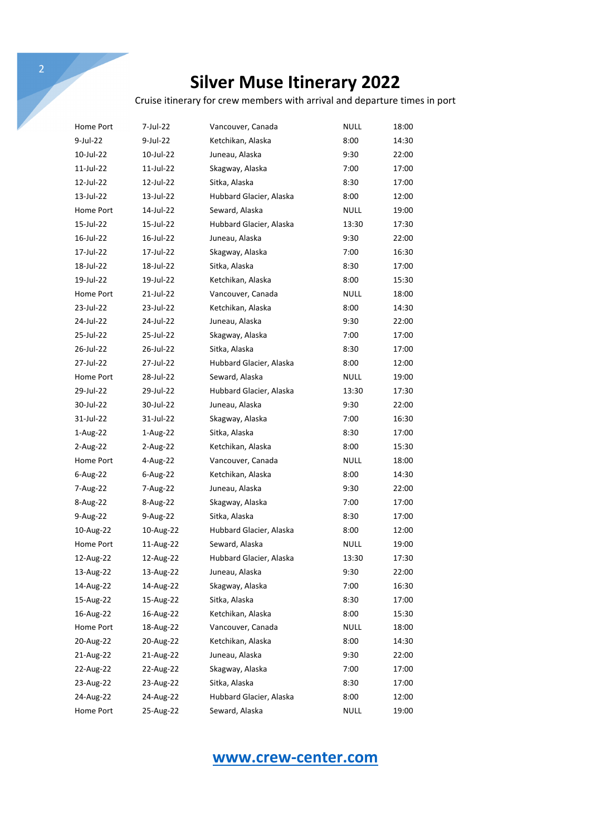Cruise itinerary for crew members with arrival and departure times in port

| $\overline{2}$ |           |                   |                                                                   |             |       |
|----------------|-----------|-------------------|-------------------------------------------------------------------|-------------|-------|
|                |           |                   | <b>Silver Muse Itinerary 2022</b>                                 |             |       |
|                |           |                   | Cruise itinerary for crew members with arrival and departure time |             |       |
| Home Port      | 7-Jul-22  | Vancouver, Canada |                                                                   | <b>NULL</b> | 18:00 |
| $9$ -Jul-22    | 9-Jul-22  | Ketchikan, Alaska |                                                                   | 8:00        | 14:30 |
| 10-Jul-22      | 10-Jul-22 | Juneau, Alaska    |                                                                   | 9:30        | 22:00 |
| 11-Jul-22      | 11-Jul-22 | Skagway, Alaska   |                                                                   | 7:00        | 17:00 |
| 12-Jul-22      | 12-Jul-22 | Sitka, Alaska     |                                                                   | 8:30        | 17:00 |
| 13-Jul-22      | 13-Jul-22 |                   | Hubbard Glacier, Alaska                                           | 8:00        | 12:00 |
| Home Port      | 14-Jul-22 | Seward, Alaska    |                                                                   | NULL        | 19:00 |
| 15-Jul-22      | 15-Jul-22 |                   | Hubbard Glacier, Alaska                                           | 13:30       | 17:30 |
| 16-Jul-22      | 16-Jul-22 | Juneau, Alaska    |                                                                   | 9:30        | 22:00 |
| 17-Jul-22      | 17-Jul-22 | Skagway, Alaska   |                                                                   | 7:00        | 16:30 |
| 18-Jul-22      | 18-Jul-22 | Sitka, Alaska     |                                                                   | 8:30        | 17:00 |
| 19-Jul-22      | 19-Jul-22 | Ketchikan, Alaska |                                                                   | 8:00        | 15:30 |
| Home Port      | 21-Jul-22 | Vancouver, Canada |                                                                   | NULL        | 18:00 |
| 23-Jul-22      | 23-Jul-22 | Ketchikan, Alaska |                                                                   | 8:00        | 14:30 |
| 24-Jul-22      | 24-Jul-22 | Juneau, Alaska    |                                                                   | 9:30        | 22:00 |
| 25-Jul-22      | 25-Jul-22 | Skagway, Alaska   |                                                                   | 7:00        | 17:00 |
| 26-Jul-22      | 26-Jul-22 | Sitka, Alaska     |                                                                   | 8:30        | 17:00 |
| 27-Jul-22      | 27-Jul-22 |                   | Hubbard Glacier, Alaska                                           | 8:00        | 12:00 |
| Home Port      | 28-Jul-22 | Seward, Alaska    |                                                                   | NULL        | 19:00 |
| 29-Jul-22      | 29-Jul-22 |                   | Hubbard Glacier, Alaska                                           | 13:30       | 17:30 |
| 30-Jul-22      | 30-Jul-22 | Juneau, Alaska    |                                                                   | 9:30        | 22:00 |
| 31-Jul-22      | 31-Jul-22 | Skagway, Alaska   |                                                                   | 7:00        | 16:30 |
| 1-Aug-22       | 1-Aug-22  | Sitka, Alaska     |                                                                   | 8:30        | 17:00 |
| $2$ -Aug-22    | 2-Aug-22  | Ketchikan, Alaska |                                                                   | 8:00        | 15:30 |
| Home Port      | 4-Aug-22  | Vancouver, Canada |                                                                   | <b>NULL</b> | 18:00 |
| 6-Aug-22       | 6-Aug-22  | Ketchikan, Alaska |                                                                   | 8:00        | 14:30 |
| 7-Aug-22       | 7-Aug-22  | Juneau, Alaska    |                                                                   | 9:30        | 22:00 |
| 8-Aug-22       | 8-Aug-22  | Skagway, Alaska   |                                                                   | 7:00        | 17:00 |
| $9-Aug-22$     | 9-Aug-22  | Sitka, Alaska     |                                                                   | 8:30        | 17:00 |
| 10-Aug-22      | 10-Aug-22 |                   | Hubbard Glacier, Alaska                                           | 8:00        | 12:00 |
| Home Port      | 11-Aug-22 | Seward, Alaska    |                                                                   | <b>NULL</b> | 19:00 |
| 12-Aug-22      | 12-Aug-22 |                   | Hubbard Glacier, Alaska                                           | 13:30       | 17:30 |
| 13-Aug-22      | 13-Aug-22 | Juneau, Alaska    |                                                                   | 9:30        | 22:00 |
| 14-Aug-22      | 14-Aug-22 | Skagway, Alaska   |                                                                   | 7:00        | 16:30 |
| 15-Aug-22      | 15-Aug-22 | Sitka, Alaska     |                                                                   | 8:30        | 17:00 |
| 16-Aug-22      | 16-Aug-22 | Ketchikan, Alaska |                                                                   | 8:00        | 15:30 |
| Home Port      | 18-Aug-22 | Vancouver, Canada |                                                                   | <b>NULL</b> | 18:00 |
| 20-Aug-22      | 20-Aug-22 | Ketchikan, Alaska |                                                                   | 8:00        | 14:30 |
| 21-Aug-22      | 21-Aug-22 | Juneau, Alaska    |                                                                   | 9:30        | 22:00 |
| 22-Aug-22      | 22-Aug-22 | Skagway, Alaska   |                                                                   | 7:00        | 17:00 |
| 23-Aug-22      | 23-Aug-22 | Sitka, Alaska     |                                                                   | 8:30        | 17:00 |
| 24-Aug-22      | 24-Aug-22 |                   | Hubbard Glacier, Alaska                                           | 8:00        | 12:00 |
| Home Port      | 25-Aug-22 | Seward, Alaska    |                                                                   | <b>NULL</b> | 19:00 |

## **www.crew-center.com**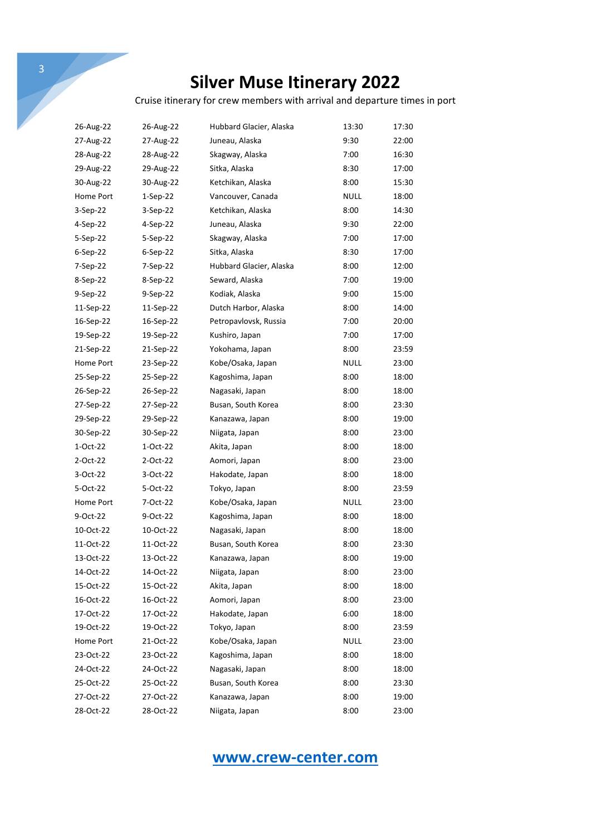Cruise itinerary for crew members with arrival and departure times in port

| 26-Aug-22 | 26-Aug-22  | Hubbard Glacier, Alaska | 13:30       | 17:30 |
|-----------|------------|-------------------------|-------------|-------|
| 27-Aug-22 | 27-Aug-22  | Juneau, Alaska          | 9:30        | 22:00 |
| 28-Aug-22 | 28-Aug-22  | Skagway, Alaska         | 7:00        | 16:30 |
| 29-Aug-22 | 29-Aug-22  | Sitka, Alaska           | 8:30        | 17:00 |
| 30-Aug-22 | 30-Aug-22  | Ketchikan, Alaska       | 8:00        | 15:30 |
| Home Port | $1-Sep-22$ | Vancouver, Canada       | NULL        | 18:00 |
| 3-Sep-22  | 3-Sep-22   | Ketchikan, Alaska       | 8:00        | 14:30 |
| 4-Sep-22  | 4-Sep-22   | Juneau, Alaska          | 9:30        | 22:00 |
| 5-Sep-22  | 5-Sep-22   | Skagway, Alaska         | 7:00        | 17:00 |
| 6-Sep-22  | 6-Sep-22   | Sitka, Alaska           | 8:30        | 17:00 |
| 7-Sep-22  | 7-Sep-22   | Hubbard Glacier, Alaska | 8:00        | 12:00 |
| 8-Sep-22  | 8-Sep-22   | Seward, Alaska          | 7:00        | 19:00 |
| 9-Sep-22  | 9-Sep-22   | Kodiak, Alaska          | 9:00        | 15:00 |
| 11-Sep-22 | 11-Sep-22  | Dutch Harbor, Alaska    | 8:00        | 14:00 |
| 16-Sep-22 | 16-Sep-22  | Petropavlovsk, Russia   | 7:00        | 20:00 |
| 19-Sep-22 | 19-Sep-22  | Kushiro, Japan          | 7:00        | 17:00 |
| 21-Sep-22 | 21-Sep-22  | Yokohama, Japan         | 8:00        | 23:59 |
| Home Port | 23-Sep-22  | Kobe/Osaka, Japan       | NULL        | 23:00 |
| 25-Sep-22 | 25-Sep-22  | Kagoshima, Japan        | 8:00        | 18:00 |
| 26-Sep-22 | 26-Sep-22  | Nagasaki, Japan         | 8:00        | 18:00 |
| 27-Sep-22 | 27-Sep-22  | Busan, South Korea      | 8:00        | 23:30 |
| 29-Sep-22 | 29-Sep-22  | Kanazawa, Japan         | 8:00        | 19:00 |
| 30-Sep-22 | 30-Sep-22  | Niigata, Japan          | 8:00        | 23:00 |
| 1-Oct-22  | 1-Oct-22   | Akita, Japan            | 8:00        | 18:00 |
| 2-Oct-22  | 2-Oct-22   | Aomori, Japan           | 8:00        | 23:00 |
| 3-Oct-22  | 3-Oct-22   | Hakodate, Japan         | 8:00        | 18:00 |
| 5-Oct-22  | 5-Oct-22   | Tokyo, Japan            | 8:00        | 23:59 |
| Home Port | 7-Oct-22   | Kobe/Osaka, Japan       | NULL        | 23:00 |
| 9-Oct-22  | 9-Oct-22   | Kagoshima, Japan        | 8:00        | 18:00 |
| 10-Oct-22 | 10-Oct-22  | Nagasaki, Japan         | 8:00        | 18:00 |
| 11-Oct-22 | 11-Oct-22  | Busan, South Korea      | 8:00        | 23:30 |
| 13-Oct-22 | 13-Oct-22  | Kanazawa, Japan         | 8:00        | 19:00 |
| 14-Oct-22 | 14-Oct-22  | Niigata, Japan          | 8:00        | 23:00 |
| 15-Oct-22 | 15-Oct-22  | Akita, Japan            | 8:00        | 18:00 |
| 16-Oct-22 | 16-Oct-22  | Aomori, Japan           | 8:00        | 23:00 |
| 17-Oct-22 | 17-Oct-22  | Hakodate, Japan         | 6:00        | 18:00 |
| 19-Oct-22 | 19-Oct-22  | Tokyo, Japan            | 8:00        | 23:59 |
| Home Port | 21-Oct-22  | Kobe/Osaka, Japan       | <b>NULL</b> | 23:00 |
| 23-Oct-22 | 23-Oct-22  | Kagoshima, Japan        | 8:00        | 18:00 |
| 24-Oct-22 | 24-Oct-22  | Nagasaki, Japan         | 8:00        | 18:00 |
| 25-Oct-22 | 25-Oct-22  | Busan, South Korea      | 8:00        | 23:30 |
| 27-Oct-22 | 27-Oct-22  | Kanazawa, Japan         | 8:00        | 19:00 |
| 28-Oct-22 | 28-Oct-22  | Niigata, Japan          | 8:00        | 23:00 |

## **www.crew-center.com**